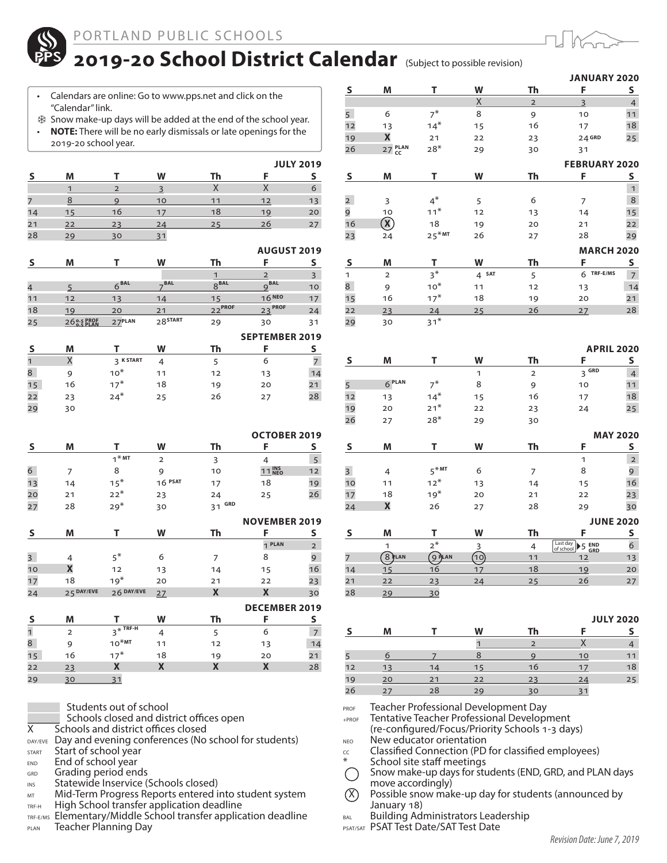

## 2019-20 School District Calendar (Subject to possible revision)

- Calendars are online: Go to www.pps.net and click on the "Calendar" link.
- Snow make-up days will be added at the end of the school year. • **NOTE:** There will be no early dismissals or late openings for the 2019-20 school year.

|    |    |    |    |    |    | <b>JULY 2019</b> |
|----|----|----|----|----|----|------------------|
|    | M  |    | w  | Th |    |                  |
|    |    |    |    |    |    |                  |
| 7  |    |    | 10 | 11 | 12 | 13               |
| 14 | 15 | 16 | 17 | 18 | 19 | 20               |
| 21 | 22 | 23 | 24 | 25 | 26 |                  |
| 28 | 29 | 30 |    |    |    |                  |

## **AUGUST 2019**

|    | M           |           | W                   | Th               |                      |    |
|----|-------------|-----------|---------------------|------------------|----------------------|----|
|    |             |           |                     |                  |                      |    |
|    |             | $6^{BAL}$ | $\_BAL$             | 8 <sup>BAL</sup> | $9^{BAL}$            | 10 |
| 11 | 12          | 13        | 14                  | 15               | 16 NEO               | 17 |
| 18 | 19          | 20        | 21                  | $22^{PROF}$      | 23 PROF              | 24 |
| 25 | 26 0.5 PROF | 27PLAN    | 28 <sup>START</sup> | 29               | 30                   | 31 |
|    |             |           |                     |                  | $C$ FD T FMD FD 3010 |    |

|    |    |                  |    |    | <b>SEPTEMBER 2019</b> |    |
|----|----|------------------|----|----|-----------------------|----|
|    | M  |                  | W  | Th |                       |    |
|    |    | <b>2 K START</b> | 4  |    | 6                     |    |
| 8  | g  | $10*$            | 11 | 12 | 13                    | 14 |
| 15 | 16 | $17*$            | 18 | 19 | 20                    | 21 |
| 22 | 23 | $24*$            | 25 | 26 | 27                    | 28 |
| 29 | 30 |                  |    |    |                       |    |

|    |    |                     |                |           | <b>OCTOBER 2019</b> |    |
|----|----|---------------------|----------------|-----------|---------------------|----|
|    | M  |                     | W              | Th        | H                   |    |
|    |    | $1$ <sup>*</sup> MT | $\overline{2}$ | 3         |                     |    |
| 6  |    | 8                   | 9              | 10        | 11 INS              | 12 |
| 13 | 14 | $15*$               | $16$ PSAT      | 17        | 18                  | 19 |
| 20 | 21 | $22*$               | 23             | 24        | 25                  | 26 |
| 27 | 28 | $29*$               | 30             | GRD<br>31 |                     |    |
|    |    |                     |                |           | NAVEMBER 3010       |    |

|                |                |            |    |    | <b>INUVEMDERZUIS</b> |                 |
|----------------|----------------|------------|----|----|----------------------|-----------------|
|                | M              |            | W  | Th | F                    | S               |
|                |                |            |    |    | 1 PLAN               | $\overline{2}$  |
| $\overline{3}$ | 4              | $5^*$      | 6  | 7  | 8                    | 9               |
| 10             | X              | 12         | 13 | 14 | 15                   | 16              |
| 17             | 18             | $19*$      | 20 | 21 | 22                   | 23              |
| 24             | 25 DAY/EVE     | 26 DAY/EVE | 27 | X  | X                    | 30              |
|                |                |            |    |    | <b>DECEMBER 2019</b> |                 |
|                |                |            |    |    |                      |                 |
|                | М              |            | W  | Th | F                    | s               |
| $\mathbf 1$    | $\overline{2}$ | $3*$ TRF-H | 4  | 5  | 6                    | $7\overline{ }$ |
| 8              | 9              | $10*MT$    | 11 | 12 | 13                   | 14              |
| 15             | 16             | $17*$      | 18 | 19 | 20                   | 21              |

Students out of school

 $\overline{X}$  Schools closed and district offices open<br> $\overline{X}$  Schools and district offices closed

Schools and district offices closed

DAY/EVE Day and evening conferences (No school for students)

START Start of school year

29 30 31

END End of school year

GRD Grading period ends

INS Statewide Inservice (Schools closed)

MT Mid-Term Progress Reports entered into student system

TRF-H High School transfer application deadline

TRF-E/MS Elementary/Middle School transfer application deadline PLAN Teacher Planning Day

| $\overline{\mathbf{S}}$ |                    |                     |                  |                         |                                   |                      |
|-------------------------|--------------------|---------------------|------------------|-------------------------|-----------------------------------|----------------------|
|                         | M                  | т                   | W                | Th                      | F                                 | S                    |
|                         |                    |                     | Χ                | $\overline{2}$          | $\overline{3}$                    | $\overline{4}$       |
| 5 <sup>1</sup>          | 6                  | $7^*$               | 8                | 9                       | 10                                | 11                   |
| 12                      | 13                 | $14*$               | 15               | 16                      | 17                                | 18                   |
| 19                      | X                  | 21                  | 22               | 23                      | 24 GRD                            | 25                   |
| 26                      | 27 PLAN            | $28*$               | 29               | 30                      | 31                                |                      |
|                         |                    |                     |                  |                         | <b>FEBRUARY 2020</b>              |                      |
| $\overline{\mathbf{S}}$ | M                  | T                   | W                | Th                      | F                                 | S                    |
|                         |                    |                     |                  |                         |                                   | $\mathbf{1}$         |
| $\overline{2}$          | 3                  | $4^*$               | 5                | 6                       | 7                                 | 8                    |
| 9                       | 10                 | $11*$               | 12               | 13                      | 14                                | 15                   |
| 16                      | $\mathbf{\hat{X}}$ | 18                  | 19               | 20                      | 21                                | 22                   |
| 23                      | 24                 | $25$ <sup>*MT</sup> | 26               | 27                      | 28                                | 29                   |
|                         |                    |                     |                  |                         | <b>MARCH 2020</b>                 |                      |
| S                       | M                  | T                   | W                | Th                      | F                                 | S                    |
| 1                       | $\overline{2}$     | $3^*$               | 4 <sup>5AT</sup> |                         | TRF-E/MS<br>6                     |                      |
| 8                       |                    | $10*$               |                  | 5<br>12                 |                                   | $\overline{7}$<br>14 |
| 15                      | 9<br>16            | $17*$               | 11<br>18         | 19                      | 13<br>20                          | 21                   |
| 22                      |                    |                     | 25               | 26                      |                                   | 28                   |
| 29                      | 23<br>30           | 24<br>$31*$         |                  |                         | 27                                |                      |
|                         |                    |                     |                  |                         |                                   |                      |
|                         |                    |                     |                  |                         |                                   |                      |
|                         |                    |                     |                  |                         | <b>APRIL 2020</b>                 |                      |
| S                       | M                  | T                   | W                | Th                      | F                                 | S                    |
|                         | 6 <sup>PLAN</sup>  |                     | 1                | $\overline{\mathbf{c}}$ | 3 <sup>GRD</sup>                  | $\overline{4}$       |
| 5                       |                    | $7^*$               | 8                | 9                       | 10                                | 11                   |
| 12                      | 13                 | $14*$               | 15               | 16                      | 17                                |                      |
| 19                      | 20                 | $21*$               | 22               |                         |                                   | 18                   |
| 26                      | 27                 |                     |                  | 23                      | 24                                | 25                   |
|                         |                    | $28*$               | 29               | 30                      |                                   |                      |
|                         |                    |                     |                  |                         | <b>MAY 2020</b>                   |                      |
| $\sf S$                 | M                  | Т                   | W                | Th                      | F                                 | S                    |
|                         |                    |                     |                  |                         | 1                                 | $\overline{2}$       |
| $\overline{3}$          | 4                  | $5*MT$              | 6                | 7                       | 8                                 | 9                    |
| 10                      | 11                 | $12*$               | 13               | 14                      | 15                                | 16                   |
| 17                      | 18                 | $19*$               | 20               | 21                      | 22                                | 23                   |
| 24                      | X                  | 26                  | 27               | 28                      | 29                                | 30                   |
|                         |                    |                     |                  |                         |                                   |                      |
|                         |                    | т                   |                  |                         | <b>JUNE 2020</b><br>F             |                      |
| $\overline{\mathbf{S}}$ | M<br>1             |                     | W                | Th                      | Last day                          | S                    |
|                         |                    | $2^*$               | 3                | $\overline{4}$<br>11    | Last day 5 END<br>of school 5 GRD | 6                    |
| $\overline{7}$          | <b>8</b> PLAN      | 9                   | <u> 10</u><br>17 |                         | 12                                | 13                   |
| 14                      | 15                 | 16                  |                  | 18                      | 19                                | 20                   |
| 21<br>28                | 22<br>29           | 23<br>30            | 24               | 25                      | 26                                | 27                   |

|    |    |    |    |    |    | <b>JULY 2020</b> |
|----|----|----|----|----|----|------------------|
|    | M  |    | W  | Th |    |                  |
|    |    |    |    |    |    |                  |
|    |    |    |    |    | 10 |                  |
| 12 | 13 | 14 | 15 | 16 |    | 18               |
| 19 | 20 | 21 | 22 | 23 | 24 | 25               |
| 26 |    | 28 | 29 | 30 |    |                  |

PROF Teacher Professional Development Day

+PROF Tentative Teacher Professional Development

(re-configured/Focus/Priority Schools 1-3 days)  $NED$  New educator orientation

cc Classified Connection (PD for classified employees)

School site staff meetings

 Snow make-up days for students (END, GRD, and PLAN days move accordingly)

 $(X)$  Possible snow make-up day for students (announced by January 18)

BAL Building Administrators Leadership

PSAT/SAT PSAT Test Date/SAT Test Date



**JANUARY 2020**